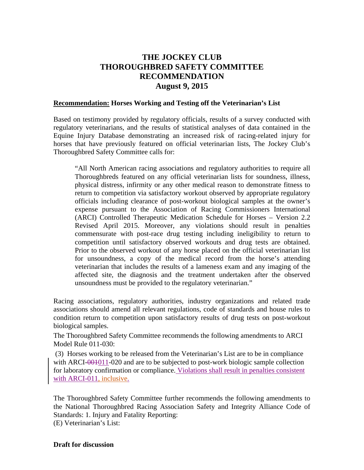## **THE JOCKEY CLUB THOROUGHBRED SAFETY COMMITTEE RECOMMENDATION August 9, 2015**

## **Recommendation: Horses Working and Testing off the Veterinarian's List**

Based on testimony provided by regulatory officials, results of a survey conducted with regulatory veterinarians, and the results of statistical analyses of data contained in the Equine Injury Database demonstrating an increased risk of racing-related injury for horses that have previously featured on official veterinarian lists, The Jockey Club's Thoroughbred Safety Committee calls for:

"All North American racing associations and regulatory authorities to require all Thoroughbreds featured on any official veterinarian lists for soundness, illness, physical distress, infirmity or any other medical reason to demonstrate fitness to return to competition via satisfactory workout observed by appropriate regulatory officials including clearance of post-workout biological samples at the owner's expense pursuant to the Association of Racing Commissioners International (ARCI) Controlled Therapeutic Medication Schedule for Horses – Version 2.2 Revised April 2015. Moreover, any violations should result in penalties commensurate with post-race drug testing including ineligibility to return to competition until satisfactory observed workouts and drug tests are obtained. Prior to the observed workout of any horse placed on the official veterinarian list for unsoundness, a copy of the medical record from the horse's attending veterinarian that includes the results of a lameness exam and any imaging of the affected site, the diagnosis and the treatment undertaken after the observed unsoundness must be provided to the regulatory veterinarian."

Racing associations, regulatory authorities, industry organizations and related trade associations should amend all relevant regulations, code of standards and house rules to condition return to competition upon satisfactory results of drug tests on post-workout biological samples.

The Thoroughbred Safety Committee recommends the following amendments to ARCI Model Rule 011-030:

(3) Horses working to be released from the Veterinarian's List are to be in compliance with ARCI-001011-020 and are to be subjected to post-work biologic sample collection for laboratory confirmation or compliance. Violations shall result in penalties consistent with ARCI-011, inclusive.

The Thoroughbred Safety Committee further recommends the following amendments to the National Thoroughbred Racing Association Safety and Integrity Alliance Code of Standards: 1. Injury and Fatality Reporting: (E) Veterinarian's List:

**Draft for discussion**